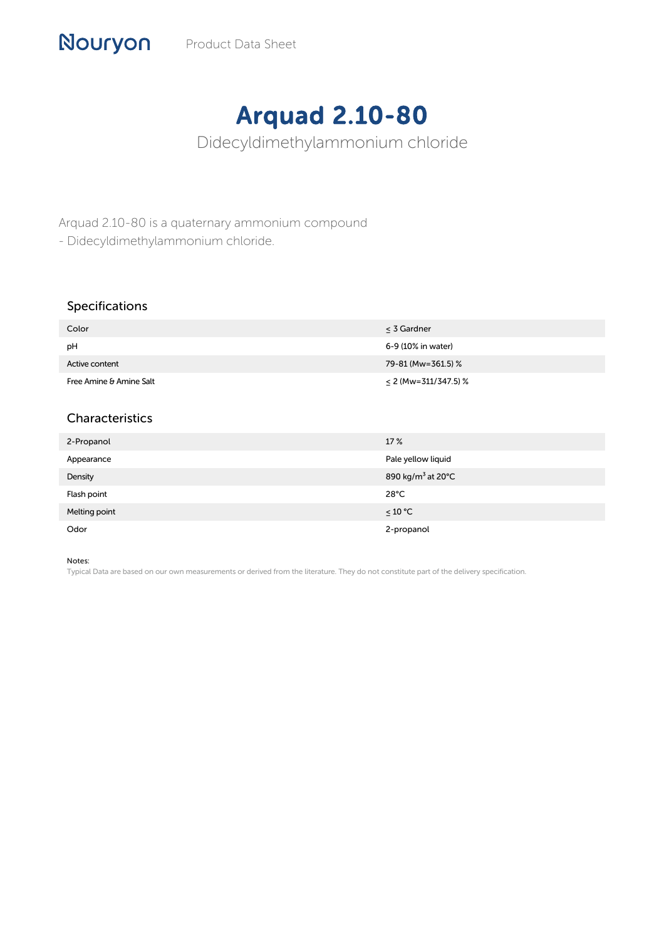## Arquad 2.10-80

Didecyldimethylammonium chloride

Arquad 2.10-80 is a quaternary ammonium compound

- Didecyldimethylammonium chloride.

## Specifications

Nouryon

| Color                   | < 3 Gardner            |
|-------------------------|------------------------|
| рH                      | 6-9 (10% in water)     |
| Active content          | 79-81 (Mw=361.5) %     |
| Free Amine & Amine Salt | $<$ 2 (Mw=311/347.5) % |

## Characteristics

| 2-Propanol    | 17 %                          |
|---------------|-------------------------------|
| Appearance    | Pale yellow liquid            |
| Density       | 890 kg/m <sup>3</sup> at 20°C |
| Flash point   | $28^{\circ}$ C                |
| Melting point | ≤ 10 °C                       |
| Odor          | 2-propanol                    |

## Notes:

Typical Data are based on our own measurements or derived from the literature. They do not constitute part of the delivery specification.